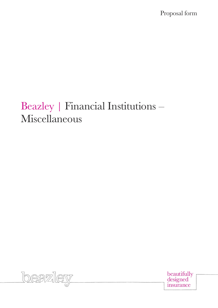Proposal form

# Beazley | Financial Institutions – Miscellaneous



beautifully<br>designed insurance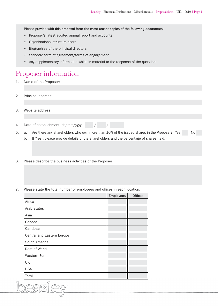Please provide with this proposal form the most recent copies of the following documents:

- Proposer's latest audited annual report and accounts
- Organisational structure chart
- Biographies of the principal directors
- Standard form of agreement/terms of engagement
- Any supplementary information which is material to the response of the questions

## Proposer information

- 1. Name of the Proposer:
- 2. Principal address:
- 3. Website address:
- 4. Date of establishment: dd/mm/yyyy / / /
- 5. a. Are there any shareholders who own more than 10% of the issued shares in the Proposer? Yes No
	- b. If 'Yes', please provide details of the shareholders and the percentage of shares held:
- 6. Please describe the business activities of the Proposer:
- 7. Please state the total number of employees and offices in each location:

|                            | <b>Employees</b> | <b>Offices</b> |
|----------------------------|------------------|----------------|
| Africa                     |                  |                |
| Arab States                |                  |                |
| Asia                       |                  |                |
| Canada                     |                  |                |
| Caribbean                  |                  |                |
| Central and Eastern Europe |                  |                |
| South America              |                  |                |
| Rest of World              |                  |                |
| Western Europe             |                  |                |
| UK                         |                  |                |
| <b>USA</b>                 |                  |                |
| <b>Total</b>               |                  |                |

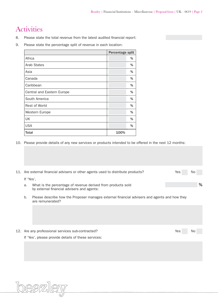# **Activities**

- 8. Please state the total revenue from the latest audited financial report:
- 9. Please state the percentage split of revenue in each location:

|      | %                |
|------|------------------|
|      | %                |
|      | %                |
|      | %                |
|      | %                |
|      | %                |
|      | %                |
|      | %                |
|      | %                |
|      | %                |
|      | %                |
| 100% |                  |
|      | Percentage split |

10. Please provide details of any new services or products intended to be offered in the next 12 months:

|  |                                                     | 11. Are external financial advisers or other agents used to distribute products?                                 | Yes        | No. |   |  |
|--|-----------------------------------------------------|------------------------------------------------------------------------------------------------------------------|------------|-----|---|--|
|  | If 'Yes',                                           |                                                                                                                  |            |     |   |  |
|  | a.                                                  | What is the percentage of revenue derived from products sold                                                     |            |     | % |  |
|  |                                                     | by external financial advisers and agents:                                                                       |            |     |   |  |
|  | b.                                                  | Please describe how the Proposer manages external financial advisers and agents and how they<br>are remunerated? |            |     |   |  |
|  |                                                     |                                                                                                                  |            |     |   |  |
|  |                                                     |                                                                                                                  |            |     |   |  |
|  |                                                     |                                                                                                                  |            |     |   |  |
|  |                                                     | 12. Are any professional services sub-contracted?                                                                | <b>Yes</b> | No  |   |  |
|  | If 'Yes', please provide details of these services: |                                                                                                                  |            |     |   |  |
|  |                                                     |                                                                                                                  |            |     |   |  |
|  |                                                     |                                                                                                                  |            |     |   |  |

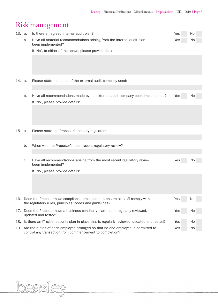# Risk management

| 13. a. |                                                                                                                                                               | Is there an agreed internal audit plan?                                                                                                     |     |     |  |  |
|--------|---------------------------------------------------------------------------------------------------------------------------------------------------------------|---------------------------------------------------------------------------------------------------------------------------------------------|-----|-----|--|--|
|        | b.                                                                                                                                                            | Have all material recommendations arising from the internal audit plan<br>been implemented?                                                 | Yes | No  |  |  |
|        |                                                                                                                                                               | If 'No', to either of the above, please provide details:                                                                                    |     |     |  |  |
|        |                                                                                                                                                               |                                                                                                                                             |     |     |  |  |
| 14. a. |                                                                                                                                                               | Please state the name of the external audit company used:                                                                                   |     |     |  |  |
|        |                                                                                                                                                               |                                                                                                                                             |     |     |  |  |
|        | b.                                                                                                                                                            | Have all recommendations made by the external audit company been implemented?<br>If 'No', please provide details:                           | Yes | No. |  |  |
|        |                                                                                                                                                               |                                                                                                                                             |     |     |  |  |
| 15. a. |                                                                                                                                                               | Please state the Proposer's primary regulator:                                                                                              |     |     |  |  |
|        |                                                                                                                                                               |                                                                                                                                             |     |     |  |  |
|        | b.                                                                                                                                                            | When was the Proposer's most recent regulatory review?                                                                                      |     |     |  |  |
|        |                                                                                                                                                               |                                                                                                                                             |     |     |  |  |
|        | c.                                                                                                                                                            | Have all recommendations arising from the most recent regulatory review<br>been implemented?                                                | Yes | No  |  |  |
|        |                                                                                                                                                               | If 'No', please provide details:                                                                                                            |     |     |  |  |
|        |                                                                                                                                                               |                                                                                                                                             |     |     |  |  |
|        |                                                                                                                                                               | 16. Does the Proposer have compliance procedures to ensure all staff comply with<br>the regulatory rules, principles, codes and guidelines? | Yes | No  |  |  |
|        | 17. Does the Proposer have a business continuity plan that is regularly reviewed,<br>updated and tested?                                                      |                                                                                                                                             |     |     |  |  |
|        | 18. Is there an IT cyber security plan in place that is regularly reviewed, updated and tested?<br>Yes                                                        |                                                                                                                                             |     |     |  |  |
|        | 19. Are the duties of each employee arranged so that no one employee is permitted to<br>Yes<br>No<br>control any transaction from commencement to completion? |                                                                                                                                             |     |     |  |  |

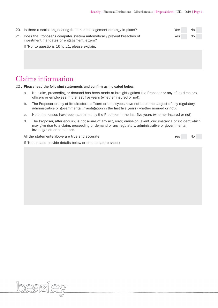| 20. Is there a social engineering fraud risk management strategy in place? | Yes i | No. |
|----------------------------------------------------------------------------|-------|-----|
| 21. Does the Proposer's computer system automatically prevent breaches of  |       | No. |
| investment mandates or engagement letters?                                 |       |     |

If 'No' to questions 16 to 21, please explain:

## Claims information

22 . Please read the following statements and confirm as indicated below:

- a. No claim, proceeding or demand has been made or brought against the Proposer or any of its directors, officers or employees in the last five years (whether insured or not);
- b. The Proposer or any of its directors, officers or employees have not been the subject of any regulatory, administrative or governmental investigation in the last five years (whether insured or not);
- c. No crime losses have been sustained by the Proposer in the last five years (whether insured or not);
- d. The Proposer, after enquiry, is not aware of any act, error, omission, event, circumstance or incident which may give rise to a claim, proceeding or demand or any regulatory, administrative or governmental investigation or crime loss.

All the statements above are true and accurate:  $\blacksquare$  Yes No

If 'No', please provide details below or on a separate sheet: